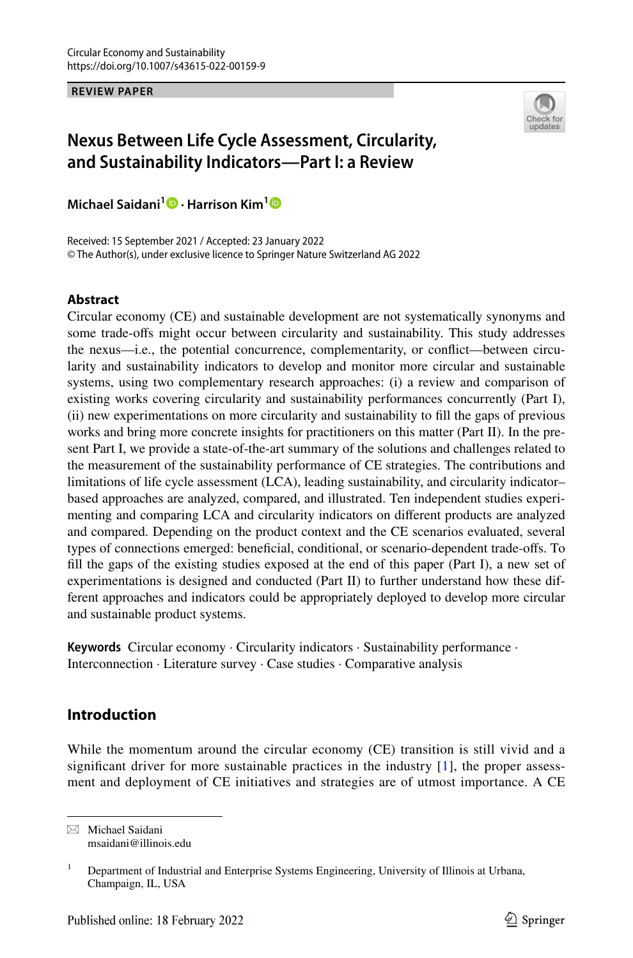**REVIEW PAPER**



# **Nexus Between Life Cycle Assessment, Circularity, and Sustainability Indicators—Part I: a Review**

**Michael Saidani1  [·](http://orcid.org/0000-0002-8269-4477) Harrison Kim[1](http://orcid.org/0000-0002-3224-6430)**

Received: 15 September 2021 / Accepted: 23 January 2022 © The Author(s), under exclusive licence to Springer Nature Switzerland AG 2022

## **Abstract**

Circular economy (CE) and sustainable development are not systematically synonyms and some trade-ofs might occur between circularity and sustainability. This study addresses the nexus—i.e., the potential concurrence, complementarity, or confict—between circularity and sustainability indicators to develop and monitor more circular and sustainable systems, using two complementary research approaches: (i) a review and comparison of existing works covering circularity and sustainability performances concurrently (Part I), (ii) new experimentations on more circularity and sustainability to fll the gaps of previous works and bring more concrete insights for practitioners on this matter (Part II). In the present Part I, we provide a state-of-the-art summary of the solutions and challenges related to the measurement of the sustainability performance of CE strategies. The contributions and limitations of life cycle assessment (LCA), leading sustainability, and circularity indicator– based approaches are analyzed, compared, and illustrated. Ten independent studies experimenting and comparing LCA and circularity indicators on diferent products are analyzed and compared. Depending on the product context and the CE scenarios evaluated, several types of connections emerged: benefcial, conditional, or scenario-dependent trade-ofs. To fll the gaps of the existing studies exposed at the end of this paper (Part I), a new set of experimentations is designed and conducted (Part II) to further understand how these different approaches and indicators could be appropriately deployed to develop more circular and sustainable product systems.

**Keywords** Circular economy · Circularity indicators · Sustainability performance · Interconnection · Literature survey · Case studies · Comparative analysis

## **Introduction**

While the momentum around the circular economy (CE) transition is still vivid and a significant driver for more sustainable practices in the industry  $[1]$  $[1]$ , the proper assessment and deployment of CE initiatives and strategies are of utmost importance. A CE

 $\boxtimes$  Michael Saidani msaidani@illinois.edu

<sup>&</sup>lt;sup>1</sup> Department of Industrial and Enterprise Systems Engineering, University of Illinois at Urbana, Champaign, IL, USA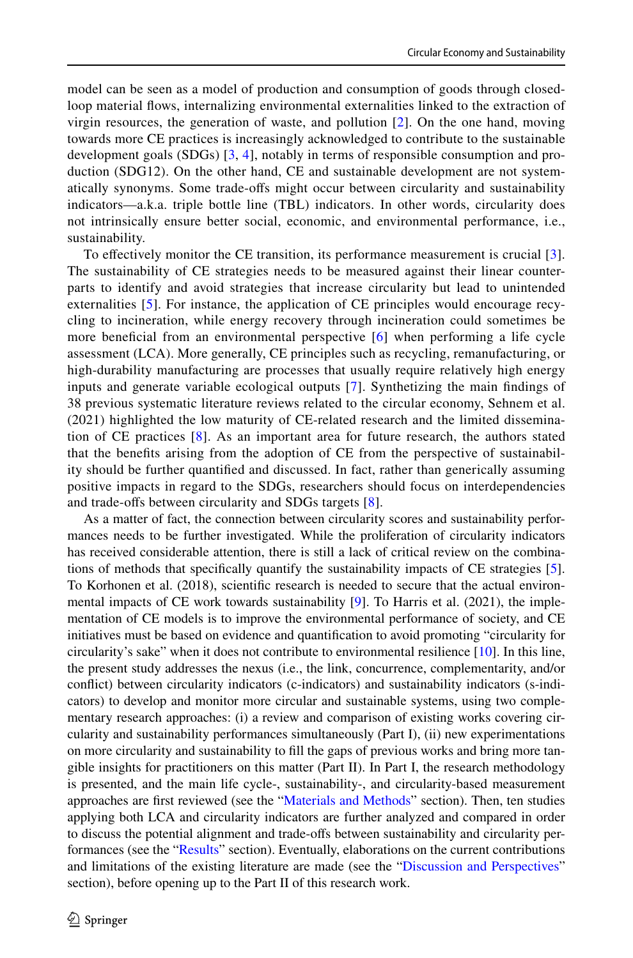model can be seen as a model of production and consumption of goods through closedloop material fows, internalizing environmental externalities linked to the extraction of virgin resources, the generation of waste, and pollution [[2\]](#page-11-1). On the one hand, moving towards more CE practices is increasingly acknowledged to contribute to the sustainable development goals (SDGs) [[3](#page-11-2), [4](#page-11-3)], notably in terms of responsible consumption and production (SDG12). On the other hand, CE and sustainable development are not systematically synonyms. Some trade-ofs might occur between circularity and sustainability indicators—a.k.a. triple bottle line (TBL) indicators. In other words, circularity does not intrinsically ensure better social, economic, and environmental performance, i.e., sustainability.

To efectively monitor the CE transition, its performance measurement is crucial [[3\]](#page-11-2). The sustainability of CE strategies needs to be measured against their linear counterparts to identify and avoid strategies that increase circularity but lead to unintended externalities [[5](#page-11-4)]. For instance, the application of CE principles would encourage recycling to incineration, while energy recovery through incineration could sometimes be more beneficial from an environmental perspective  $[6]$  $[6]$  when performing a life cycle assessment (LCA). More generally, CE principles such as recycling, remanufacturing, or high-durability manufacturing are processes that usually require relatively high energy inputs and generate variable ecological outputs [\[7](#page-11-6)]. Synthetizing the main fndings of 38 previous systematic literature reviews related to the circular economy, Sehnem et al. (2021) highlighted the low maturity of CE-related research and the limited dissemination of CE practices [[8\]](#page-11-7). As an important area for future research, the authors stated that the benefts arising from the adoption of CE from the perspective of sustainability should be further quantifed and discussed. In fact, rather than generically assuming positive impacts in regard to the SDGs, researchers should focus on interdependencies and trade-ofs between circularity and SDGs targets [[8](#page-11-7)].

As a matter of fact, the connection between circularity scores and sustainability performances needs to be further investigated. While the proliferation of circularity indicators has received considerable attention, there is still a lack of critical review on the combinations of methods that specifcally quantify the sustainability impacts of CE strategies [\[5](#page-11-4)]. To Korhonen et al. (2018), scientifc research is needed to secure that the actual environmental impacts of CE work towards sustainability [\[9](#page-11-8)]. To Harris et al. (2021), the implementation of CE models is to improve the environmental performance of society, and CE initiatives must be based on evidence and quantifcation to avoid promoting "circularity for circularity's sake" when it does not contribute to environmental resilience [\[10\]](#page-12-0). In this line, the present study addresses the nexus (i.e., the link, concurrence, complementarity, and/or confict) between circularity indicators (c-indicators) and sustainability indicators (s-indicators) to develop and monitor more circular and sustainable systems, using two complementary research approaches: (i) a review and comparison of existing works covering circularity and sustainability performances simultaneously (Part I), (ii) new experimentations on more circularity and sustainability to fll the gaps of previous works and bring more tangible insights for practitioners on this matter (Part II). In Part I, the research methodology is presented, and the main life cycle-, sustainability-, and circularity-based measurement approaches are frst reviewed (see the ["Materials and Methods](#page-2-0)" section). Then, ten studies applying both LCA and circularity indicators are further analyzed and compared in order to discuss the potential alignment and trade-ofs between sustainability and circularity performances (see the ["Results](#page-4-0)" section). Eventually, elaborations on the current contributions and limitations of the existing literature are made (see the "[Discussion and Perspectives](#page-10-0)" section), before opening up to the Part II of this research work.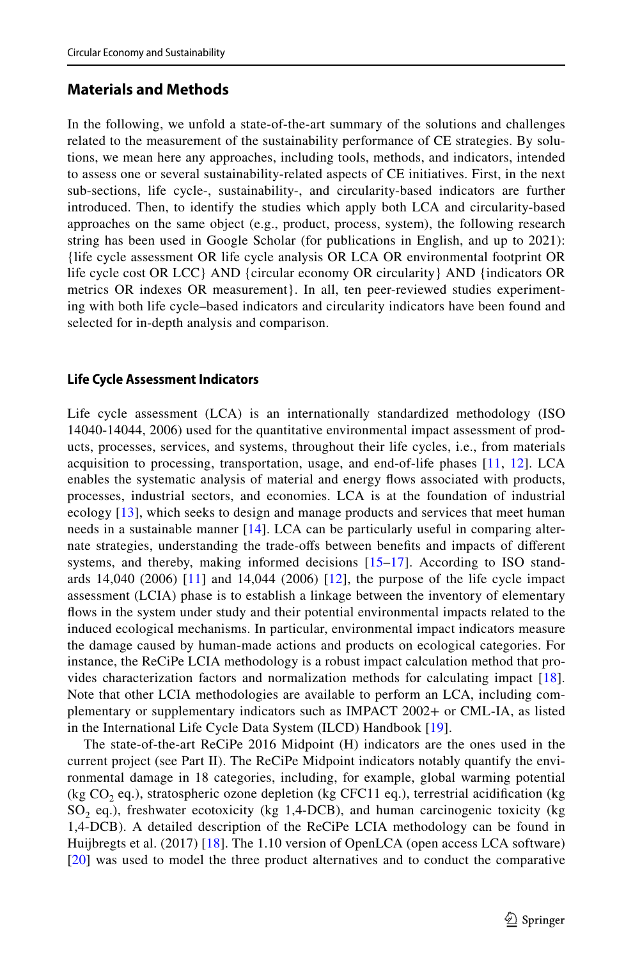## <span id="page-2-0"></span>**Materials and Methods**

In the following, we unfold a state-of-the-art summary of the solutions and challenges related to the measurement of the sustainability performance of CE strategies. By solutions, we mean here any approaches, including tools, methods, and indicators, intended to assess one or several sustainability-related aspects of CE initiatives. First, in the next sub-sections, life cycle-, sustainability-, and circularity-based indicators are further introduced. Then, to identify the studies which apply both LCA and circularity-based approaches on the same object (e.g., product, process, system), the following research string has been used in Google Scholar (for publications in English, and up to 2021): {life cycle assessment OR life cycle analysis OR LCA OR environmental footprint OR life cycle cost OR LCC} AND {circular economy OR circularity} AND {indicators OR metrics OR indexes OR measurement}. In all, ten peer-reviewed studies experimenting with both life cycle–based indicators and circularity indicators have been found and selected for in-depth analysis and comparison.

## **Life Cycle Assessment Indicators**

Life cycle assessment (LCA) is an internationally standardized methodology (ISO 14040-14044, 2006) used for the quantitative environmental impact assessment of products, processes, services, and systems, throughout their life cycles, i.e., from materials acquisition to processing, transportation, usage, and end-of-life phases [\[11](#page-12-1), [12](#page-12-2)]. LCA enables the systematic analysis of material and energy fows associated with products, processes, industrial sectors, and economies. LCA is at the foundation of industrial ecology [[13](#page-12-3)], which seeks to design and manage products and services that meet human needs in a sustainable manner [[14\]](#page-12-4). LCA can be particularly useful in comparing alternate strategies, understanding the trade-ofs between benefts and impacts of diferent systems, and thereby, making informed decisions  $[15-17]$  $[15-17]$  $[15-17]$ . According to ISO standards 14,040 (2006) [\[11](#page-12-1)] and 14,044 (2006) [\[12](#page-12-2)], the purpose of the life cycle impact assessment (LCIA) phase is to establish a linkage between the inventory of elementary fows in the system under study and their potential environmental impacts related to the induced ecological mechanisms. In particular, environmental impact indicators measure the damage caused by human-made actions and products on ecological categories. For instance, the ReCiPe LCIA methodology is a robust impact calculation method that provides characterization factors and normalization methods for calculating impact [\[18\]](#page-12-7). Note that other LCIA methodologies are available to perform an LCA, including complementary or supplementary indicators such as IMPACT 2002+ or CML-IA, as listed in the International Life Cycle Data System (ILCD) Handbook [[19](#page-12-8)].

The state-of-the-art ReCiPe 2016 Midpoint (H) indicators are the ones used in the current project (see Part II). The ReCiPe Midpoint indicators notably quantify the environmental damage in 18 categories, including, for example, global warming potential (kg CO<sub>2</sub> eq.), stratospheric ozone depletion (kg CFC11 eq.), terrestrial acidification (kg  $SO<sub>2</sub>$  eq.), freshwater ecotoxicity (kg 1,4-DCB), and human carcinogenic toxicity (kg 1,4-DCB). A detailed description of the ReCiPe LCIA methodology can be found in Huijbregts et al. (2017) [\[18](#page-12-7)]. The 1.10 version of OpenLCA (open access LCA software) [[20\]](#page-12-9) was used to model the three product alternatives and to conduct the comparative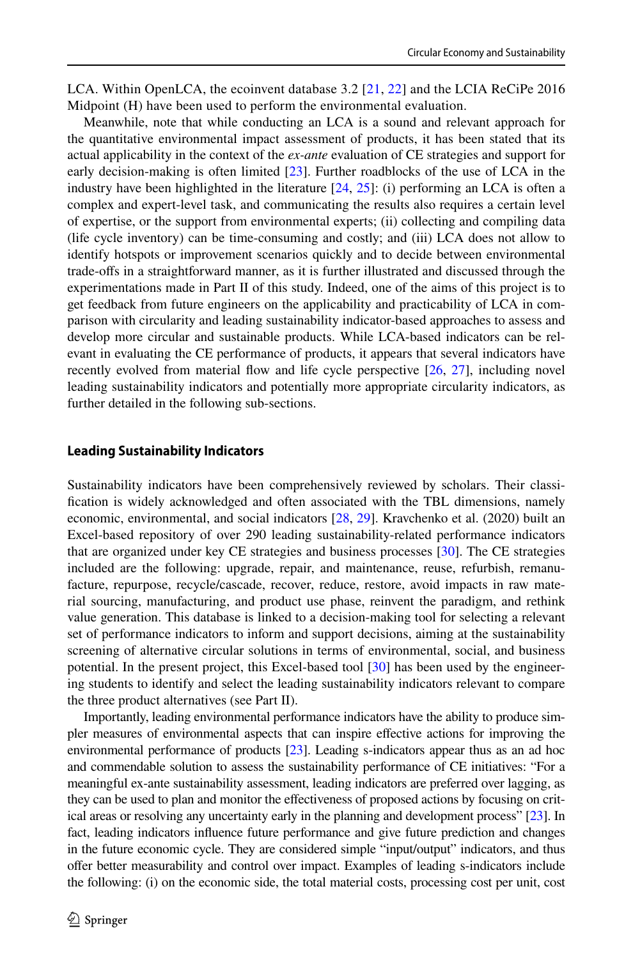LCA. Within OpenLCA, the ecoinvent database 3.2 [[21](#page-12-10), [22](#page-12-11)] and the LCIA ReCiPe 2016 Midpoint (H) have been used to perform the environmental evaluation.

Meanwhile, note that while conducting an LCA is a sound and relevant approach for the quantitative environmental impact assessment of products, it has been stated that its actual applicability in the context of the *ex-ante* evaluation of CE strategies and support for early decision-making is often limited [[23](#page-12-12)]. Further roadblocks of the use of LCA in the industry have been highlighted in the literature  $[24, 25]$  $[24, 25]$  $[24, 25]$  $[24, 25]$  $[24, 25]$ : (i) performing an LCA is often a complex and expert-level task, and communicating the results also requires a certain level of expertise, or the support from environmental experts; (ii) collecting and compiling data (life cycle inventory) can be time-consuming and costly; and (iii) LCA does not allow to identify hotspots or improvement scenarios quickly and to decide between environmental trade-ofs in a straightforward manner, as it is further illustrated and discussed through the experimentations made in Part II of this study. Indeed, one of the aims of this project is to get feedback from future engineers on the applicability and practicability of LCA in comparison with circularity and leading sustainability indicator-based approaches to assess and develop more circular and sustainable products. While LCA-based indicators can be relevant in evaluating the CE performance of products, it appears that several indicators have recently evolved from material fow and life cycle perspective [\[26,](#page-12-15) [27](#page-12-16)], including novel leading sustainability indicators and potentially more appropriate circularity indicators, as further detailed in the following sub-sections.

#### **Leading Sustainability Indicators**

Sustainability indicators have been comprehensively reviewed by scholars. Their classifcation is widely acknowledged and often associated with the TBL dimensions, namely economic, environmental, and social indicators [\[28,](#page-12-17) [29](#page-12-18)]. Kravchenko et al. (2020) built an Excel-based repository of over 290 leading sustainability-related performance indicators that are organized under key CE strategies and business processes [\[30\]](#page-12-19). The CE strategies included are the following: upgrade, repair, and maintenance, reuse, refurbish, remanufacture, repurpose, recycle/cascade, recover, reduce, restore, avoid impacts in raw material sourcing, manufacturing, and product use phase, reinvent the paradigm, and rethink value generation. This database is linked to a decision-making tool for selecting a relevant set of performance indicators to inform and support decisions, aiming at the sustainability screening of alternative circular solutions in terms of environmental, social, and business potential. In the present project, this Excel-based tool [\[30\]](#page-12-19) has been used by the engineering students to identify and select the leading sustainability indicators relevant to compare the three product alternatives (see Part II).

Importantly, leading environmental performance indicators have the ability to produce simpler measures of environmental aspects that can inspire efective actions for improving the environmental performance of products [\[23\]](#page-12-12). Leading s-indicators appear thus as an ad hoc and commendable solution to assess the sustainability performance of CE initiatives: "For a meaningful ex-ante sustainability assessment, leading indicators are preferred over lagging, as they can be used to plan and monitor the efectiveness of proposed actions by focusing on critical areas or resolving any uncertainty early in the planning and development process" [\[23](#page-12-12)]. In fact, leading indicators infuence future performance and give future prediction and changes in the future economic cycle. They are considered simple "input/output" indicators, and thus ofer better measurability and control over impact. Examples of leading s-indicators include the following: (i) on the economic side, the total material costs, processing cost per unit, cost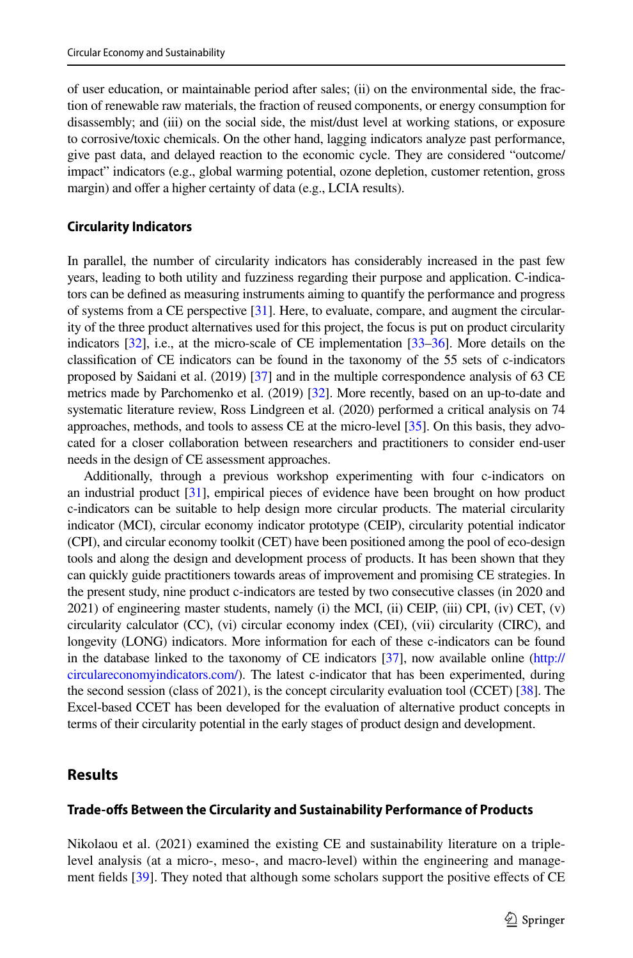of user education, or maintainable period after sales; (ii) on the environmental side, the fraction of renewable raw materials, the fraction of reused components, or energy consumption for disassembly; and (iii) on the social side, the mist/dust level at working stations, or exposure to corrosive/toxic chemicals. On the other hand, lagging indicators analyze past performance, give past data, and delayed reaction to the economic cycle. They are considered "outcome/ impact" indicators (e.g., global warming potential, ozone depletion, customer retention, gross margin) and offer a higher certainty of data (e.g., LCIA results).

#### **Circularity Indicators**

In parallel, the number of circularity indicators has considerably increased in the past few years, leading to both utility and fuzziness regarding their purpose and application. C-indicators can be defned as measuring instruments aiming to quantify the performance and progress of systems from a CE perspective [\[31](#page-12-20)]. Here, to evaluate, compare, and augment the circularity of the three product alternatives used for this project, the focus is put on product circularity indicators [\[32\]](#page-12-21), i.e., at the micro-scale of CE implementation [[33](#page-12-22)–[36\]](#page-12-23). More details on the classifcation of CE indicators can be found in the taxonomy of the 55 sets of c-indicators proposed by Saidani et al. (2019) [[37\]](#page-13-0) and in the multiple correspondence analysis of 63 CE metrics made by Parchomenko et al. (2019) [[32\]](#page-12-21). More recently, based on an up-to-date and systematic literature review, Ross Lindgreen et al. (2020) performed a critical analysis on 74 approaches, methods, and tools to assess CE at the micro-level [\[35](#page-12-24)]. On this basis, they advocated for a closer collaboration between researchers and practitioners to consider end-user needs in the design of CE assessment approaches.

Additionally, through a previous workshop experimenting with four c-indicators on an industrial product [\[31](#page-12-20)], empirical pieces of evidence have been brought on how product c-indicators can be suitable to help design more circular products. The material circularity indicator (MCI), circular economy indicator prototype (CEIP), circularity potential indicator (CPI), and circular economy toolkit (CET) have been positioned among the pool of eco-design tools and along the design and development process of products. It has been shown that they can quickly guide practitioners towards areas of improvement and promising CE strategies. In the present study, nine product c-indicators are tested by two consecutive classes (in 2020 and 2021) of engineering master students, namely (i) the MCI, (ii) CEIP, (iii) CPI, (iv) CET, (v) circularity calculator (CC), (vi) circular economy index (CEI), (vii) circularity (CIRC), and longevity (LONG) indicators. More information for each of these c-indicators can be found in the database linked to the taxonomy of CE indicators [\[37](#page-13-0)], now available online ([http://](http://circulareconomyindicators.com/) [circulareconomyindicators.com/](http://circulareconomyindicators.com/)). The latest c-indicator that has been experimented, during the second session (class of 2021), is the concept circularity evaluation tool (CCET) [\[38](#page-13-1)]. The Excel-based CCET has been developed for the evaluation of alternative product concepts in terms of their circularity potential in the early stages of product design and development.

## <span id="page-4-0"></span>**Results**

#### **Trade‑ofs Between the Circularity and Sustainability Performance of Products**

Nikolaou et al. (2021) examined the existing CE and sustainability literature on a triplelevel analysis (at a micro-, meso-, and macro-level) within the engineering and management felds [\[39\]](#page-13-2). They noted that although some scholars support the positive efects of CE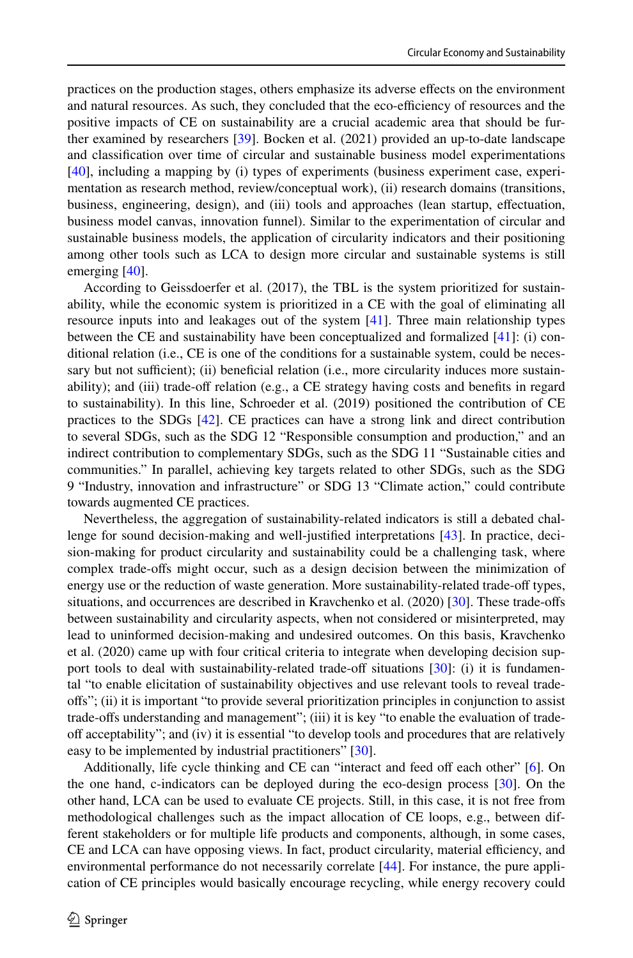practices on the production stages, others emphasize its adverse efects on the environment and natural resources. As such, they concluded that the eco-efficiency of resources and the positive impacts of CE on sustainability are a crucial academic area that should be further examined by researchers [\[39\]](#page-13-2). Bocken et al. (2021) provided an up-to-date landscape and classifcation over time of circular and sustainable business model experimentations [[40](#page-13-3)], including a mapping by (i) types of experiments (business experiment case, experimentation as research method, review/conceptual work), (ii) research domains (transitions, business, engineering, design), and (iii) tools and approaches (lean startup, efectuation, business model canvas, innovation funnel). Similar to the experimentation of circular and sustainable business models, the application of circularity indicators and their positioning among other tools such as LCA to design more circular and sustainable systems is still emerging [\[40\]](#page-13-3).

According to Geissdoerfer et al. (2017), the TBL is the system prioritized for sustainability, while the economic system is prioritized in a CE with the goal of eliminating all resource inputs into and leakages out of the system  $[41]$  $[41]$ . Three main relationship types between the CE and sustainability have been conceptualized and formalized [[41](#page-13-4)]: (i) conditional relation (i.e., CE is one of the conditions for a sustainable system, could be necessary but not sufficient); (ii) beneficial relation (i.e., more circularity induces more sustainability); and (iii) trade-of relation (e.g., a CE strategy having costs and benefts in regard to sustainability). In this line, Schroeder et al. (2019) positioned the contribution of CE practices to the SDGs [\[42\]](#page-13-5). CE practices can have a strong link and direct contribution to several SDGs, such as the SDG 12 "Responsible consumption and production," and an indirect contribution to complementary SDGs, such as the SDG 11 "Sustainable cities and communities." In parallel, achieving key targets related to other SDGs, such as the SDG 9 "Industry, innovation and infrastructure" or SDG 13 "Climate action," could contribute towards augmented CE practices.

Nevertheless, the aggregation of sustainability-related indicators is still a debated challenge for sound decision-making and well-justifed interpretations [[43](#page-13-6)]. In practice, decision-making for product circularity and sustainability could be a challenging task, where complex trade-ofs might occur, such as a design decision between the minimization of energy use or the reduction of waste generation. More sustainability-related trade-of types, situations, and occurrences are described in Kravchenko et al. (2020) [[30](#page-12-19)]. These trade-offs between sustainability and circularity aspects, when not considered or misinterpreted, may lead to uninformed decision-making and undesired outcomes. On this basis, Kravchenko et al. (2020) came up with four critical criteria to integrate when developing decision support tools to deal with sustainability-related trade-off situations  $[30]$ : (i) it is fundamental "to enable elicitation of sustainability objectives and use relevant tools to reveal tradeofs"; (ii) it is important "to provide several prioritization principles in conjunction to assist trade-ofs understanding and management"; (iii) it is key "to enable the evaluation of tradeof acceptability"; and (iv) it is essential "to develop tools and procedures that are relatively easy to be implemented by industrial practitioners" [\[30\]](#page-12-19).

Additionally, life cycle thinking and CE can "interact and feed off each other" [[6](#page-11-5)]. On the one hand, c-indicators can be deployed during the eco-design process [[30](#page-12-19)]. On the other hand, LCA can be used to evaluate CE projects. Still, in this case, it is not free from methodological challenges such as the impact allocation of CE loops, e.g., between different stakeholders or for multiple life products and components, although, in some cases, CE and LCA can have opposing views. In fact, product circularity, material efficiency, and environmental performance do not necessarily correlate [\[44\]](#page-13-7). For instance, the pure application of CE principles would basically encourage recycling, while energy recovery could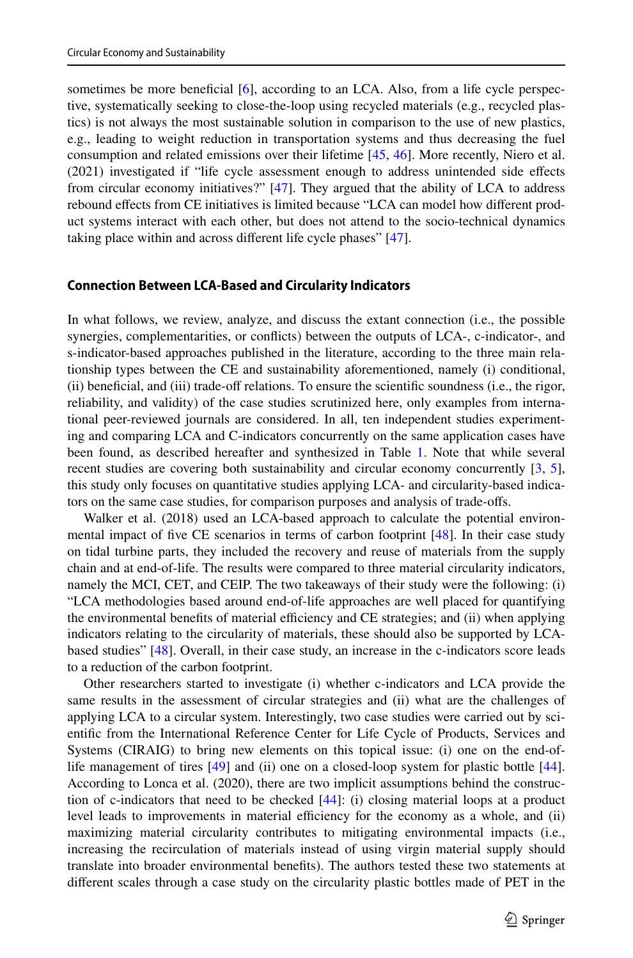sometimes be more beneficial [[6](#page-11-5)], according to an LCA. Also, from a life cycle perspective, systematically seeking to close-the-loop using recycled materials (e.g., recycled plastics) is not always the most sustainable solution in comparison to the use of new plastics, e.g., leading to weight reduction in transportation systems and thus decreasing the fuel consumption and related emissions over their lifetime [[45](#page-13-8), [46\]](#page-13-9). More recently, Niero et al. (2021) investigated if "life cycle assessment enough to address unintended side efects from circular economy initiatives?" [[47](#page-13-10)]. They argued that the ability of LCA to address rebound efects from CE initiatives is limited because "LCA can model how diferent product systems interact with each other, but does not attend to the socio-technical dynamics taking place within and across diferent life cycle phases" [[47](#page-13-10)].

#### **Connection Between LCA‑Based and Circularity Indicators**

In what follows, we review, analyze, and discuss the extant connection (i.e., the possible synergies, complementarities, or conficts) between the outputs of LCA-, c-indicator-, and s-indicator-based approaches published in the literature, according to the three main relationship types between the CE and sustainability aforementioned, namely (i) conditional, (ii) benefcial, and (iii) trade-of relations. To ensure the scientifc soundness (i.e., the rigor, reliability, and validity) of the case studies scrutinized here, only examples from international peer-reviewed journals are considered. In all, ten independent studies experimenting and comparing LCA and C-indicators concurrently on the same application cases have been found, as described hereafter and synthesized in Table [1](#page-7-0). Note that while several recent studies are covering both sustainability and circular economy concurrently [[3](#page-11-2), [5](#page-11-4)], this study only focuses on quantitative studies applying LCA- and circularity-based indicators on the same case studies, for comparison purposes and analysis of trade-ofs.

Walker et al. (2018) used an LCA-based approach to calculate the potential environ-mental impact of five CE scenarios in terms of carbon footprint [\[48\]](#page-13-11). In their case study on tidal turbine parts, they included the recovery and reuse of materials from the supply chain and at end-of-life. The results were compared to three material circularity indicators, namely the MCI, CET, and CEIP. The two takeaways of their study were the following: (i) "LCA methodologies based around end-of-life approaches are well placed for quantifying the environmental benefits of material efficiency and CE strategies; and (ii) when applying indicators relating to the circularity of materials, these should also be supported by LCAbased studies" [\[48\]](#page-13-11). Overall, in their case study, an increase in the c-indicators score leads to a reduction of the carbon footprint.

Other researchers started to investigate (i) whether c-indicators and LCA provide the same results in the assessment of circular strategies and (ii) what are the challenges of applying LCA to a circular system. Interestingly, two case studies were carried out by scientifc from the International Reference Center for Life Cycle of Products, Services and Systems (CIRAIG) to bring new elements on this topical issue: (i) one on the end-oflife management of tires [\[49\]](#page-13-12) and (ii) one on a closed-loop system for plastic bottle [[44](#page-13-7)]. According to Lonca et al. (2020), there are two implicit assumptions behind the construction of c-indicators that need to be checked  $[44]$  $[44]$  $[44]$ : (i) closing material loops at a product level leads to improvements in material efficiency for the economy as a whole, and (ii) maximizing material circularity contributes to mitigating environmental impacts (i.e., increasing the recirculation of materials instead of using virgin material supply should translate into broader environmental benefts). The authors tested these two statements at diferent scales through a case study on the circularity plastic bottles made of PET in the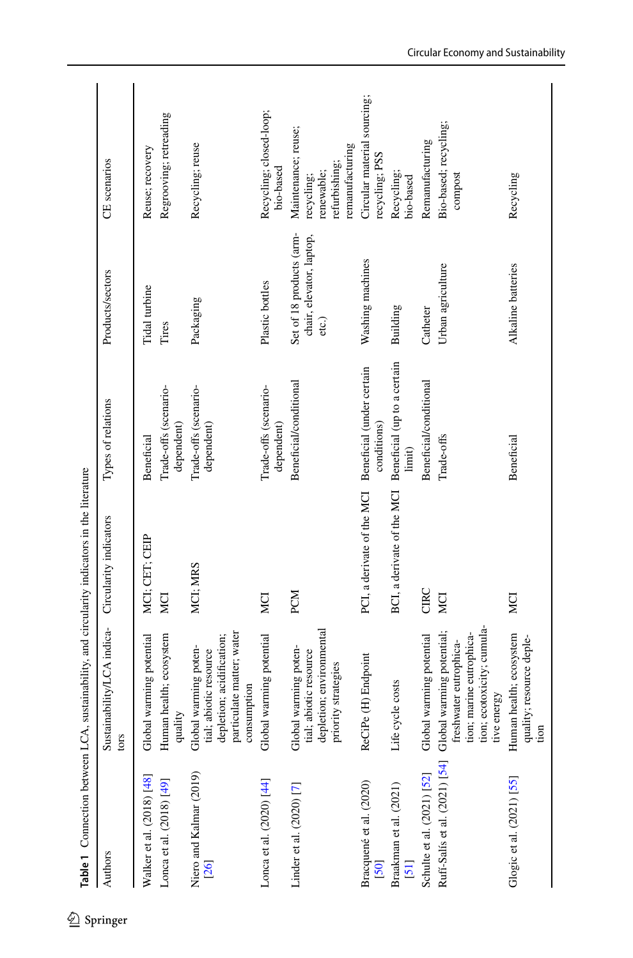| Authors                                                 | Sustainability/LCA indica-<br>tors                                                                                       | Circularity indicators     | Types of relations                       | Products/sectors                                              | CE scenarios                                                                        |
|---------------------------------------------------------|--------------------------------------------------------------------------------------------------------------------------|----------------------------|------------------------------------------|---------------------------------------------------------------|-------------------------------------------------------------------------------------|
| Walker et al. (2018) [48]                               | Global warming potential                                                                                                 | MCI; CET; CEIP             | Beneficial                               | Tidal turbine                                                 | Reuse; recovery                                                                     |
| Lonca et al. (2018) [49]                                | Human health; ecosystem<br>quality                                                                                       | MCI                        | Trade-offs (scenario-<br>dependent)      | Tires                                                         | Regrooving; retreading                                                              |
| Niero and Kalmar (2019)<br>[26]                         | particulate matter; water<br>depletion; acidification;<br>Global warming poten-<br>tial; abiotic resource<br>consumption | MCI: MRS                   | Trade-offs (scenario-<br>dependent)      | Packaging                                                     | Recycling; reuse                                                                    |
| Lonca et al. (2020) [44]                                | Global warming potential                                                                                                 | MCI                        | Trade-offs (scenario-<br>dependent)      | Plastic bottles                                               | Recycling; closed-loop;<br>bio-based                                                |
| Linder et al. $(2020)$ [7]                              | depletion; environmental<br>Global warming poten-<br>tial; abiotic resource<br>priority strategies                       | PCM                        | Beneficial/conditional                   | Set of 18 products (arm-<br>chair, elevator, laptop,<br>etc.) | Maintenance; reuse;<br>remanufacturing<br>refurbishing;<br>renewable;<br>recycling; |
| Bracquené et al. (2020)<br>[50]                         | ReCiPe (H) Endpoint                                                                                                      | PCI, a derivate of the MCI | Beneficial (under certain<br>conditions) | Washing machines                                              | Circular material sourcing;<br>recycling; PSS                                       |
| Braakman et al. (2021)<br>$\overline{51}$               | Life cycle costs                                                                                                         | BCI, a derivate of the MCI | Beneficial (up to a certain<br>limit)    | Building                                                      | Recycling;<br>bio-based                                                             |
| Schulte et al. (2021) [52]                              | Global warming potential                                                                                                 | CIRC                       | Beneficial/conditional                   | Catheter                                                      | Remanufacturing                                                                     |
| Ruff-Salís et al. (2021) [54] Global warming potential; | tion; ecotoxicity; cumula-<br>tion; marine eutrophica-<br>freshwater eutrophica-<br>tive energy                          | MCI                        | Trade-offs                               | Urban agriculture                                             | Bio-based; recycling;<br>compost                                                    |
| Glogic et al. (2021) [55]                               | Human health; ecosystem<br>quality; resource deple-<br>tion                                                              | MCI                        | <b>Beneficial</b>                        | <b>Alkaline</b> batteries                                     | Recycling                                                                           |

<span id="page-7-0"></span> $\underline{\textcircled{\tiny 2}}$  Springer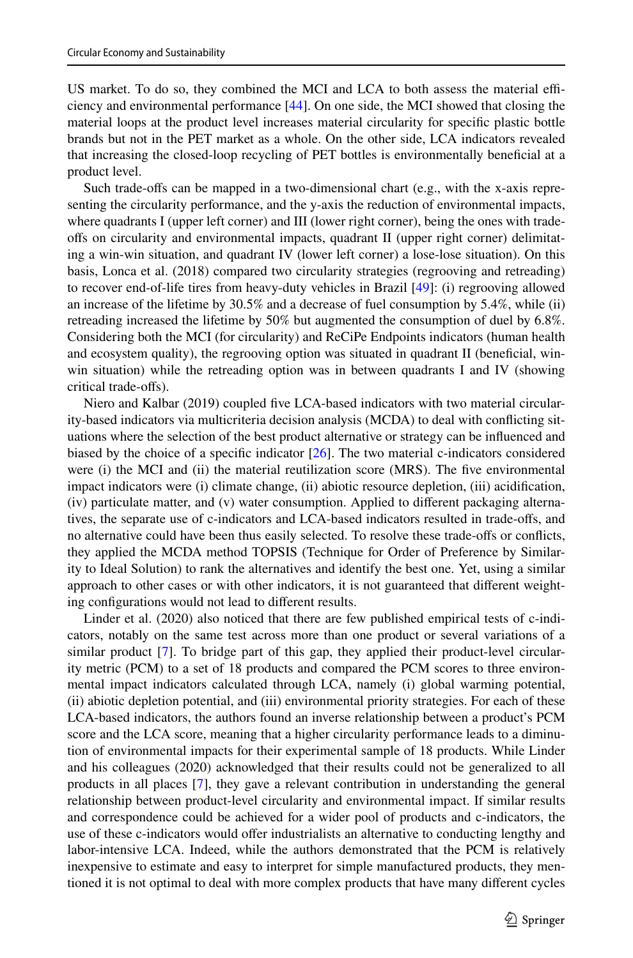US market. To do so, they combined the MCI and LCA to both assess the material efficiency and environmental performance [[44](#page-13-7)]. On one side, the MCI showed that closing the material loops at the product level increases material circularity for specifc plastic bottle brands but not in the PET market as a whole. On the other side, LCA indicators revealed that increasing the closed-loop recycling of PET bottles is environmentally benefcial at a product level.

Such trade-ofs can be mapped in a two-dimensional chart (e.g., with the x-axis representing the circularity performance, and the y-axis the reduction of environmental impacts, where quadrants I (upper left corner) and III (lower right corner), being the ones with tradeofs on circularity and environmental impacts, quadrant II (upper right corner) delimitating a win-win situation, and quadrant IV (lower left corner) a lose-lose situation). On this basis, Lonca et al. (2018) compared two circularity strategies (regrooving and retreading) to recover end-of-life tires from heavy-duty vehicles in Brazil [[49](#page-13-12)]: (i) regrooving allowed an increase of the lifetime by 30.5% and a decrease of fuel consumption by 5.4%, while (ii) retreading increased the lifetime by 50% but augmented the consumption of duel by 6.8%. Considering both the MCI (for circularity) and ReCiPe Endpoints indicators (human health and ecosystem quality), the regrooving option was situated in quadrant II (benefcial, winwin situation) while the retreading option was in between quadrants I and IV (showing critical trade-ofs).

Niero and Kalbar (2019) coupled fve LCA-based indicators with two material circularity-based indicators via multicriteria decision analysis (MCDA) to deal with conficting situations where the selection of the best product alternative or strategy can be infuenced and biased by the choice of a specifc indicator [\[26\]](#page-12-15). The two material c-indicators considered were (i) the MCI and (ii) the material reutilization score (MRS). The five environmental impact indicators were (i) climate change, (ii) abiotic resource depletion, (iii) acidifcation, (iv) particulate matter, and (v) water consumption. Applied to diferent packaging alternatives, the separate use of c-indicators and LCA-based indicators resulted in trade-ofs, and no alternative could have been thus easily selected. To resolve these trade-ofs or conficts, they applied the MCDA method TOPSIS (Technique for Order of Preference by Similarity to Ideal Solution) to rank the alternatives and identify the best one. Yet, using a similar approach to other cases or with other indicators, it is not guaranteed that diferent weighting confgurations would not lead to diferent results.

Linder et al. (2020) also noticed that there are few published empirical tests of c-indicators, notably on the same test across more than one product or several variations of a similar product [\[7](#page-11-6)]. To bridge part of this gap, they applied their product-level circularity metric (PCM) to a set of 18 products and compared the PCM scores to three environmental impact indicators calculated through LCA, namely (i) global warming potential, (ii) abiotic depletion potential, and (iii) environmental priority strategies. For each of these LCA-based indicators, the authors found an inverse relationship between a product's PCM score and the LCA score, meaning that a higher circularity performance leads to a diminution of environmental impacts for their experimental sample of 18 products. While Linder and his colleagues (2020) acknowledged that their results could not be generalized to all products in all places [[7](#page-11-6)], they gave a relevant contribution in understanding the general relationship between product-level circularity and environmental impact. If similar results and correspondence could be achieved for a wider pool of products and c-indicators, the use of these c-indicators would offer industrialists an alternative to conducting lengthy and labor-intensive LCA. Indeed, while the authors demonstrated that the PCM is relatively inexpensive to estimate and easy to interpret for simple manufactured products, they mentioned it is not optimal to deal with more complex products that have many diferent cycles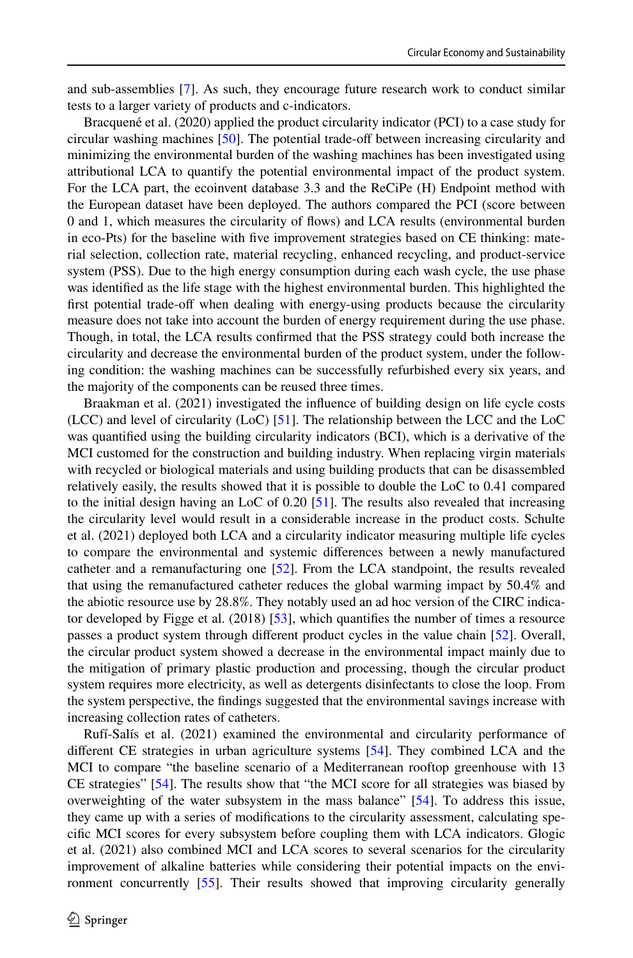and sub-assemblies [[7](#page-11-6)]. As such, they encourage future research work to conduct similar tests to a larger variety of products and c-indicators.

Bracquené et al. (2020) applied the product circularity indicator (PCI) to a case study for circular washing machines [\[50\]](#page-13-13). The potential trade-of between increasing circularity and minimizing the environmental burden of the washing machines has been investigated using attributional LCA to quantify the potential environmental impact of the product system. For the LCA part, the ecoinvent database 3.3 and the ReCiPe (H) Endpoint method with the European dataset have been deployed. The authors compared the PCI (score between 0 and 1, which measures the circularity of fows) and LCA results (environmental burden in eco-Pts) for the baseline with fve improvement strategies based on CE thinking: material selection, collection rate, material recycling, enhanced recycling, and product-service system (PSS). Due to the high energy consumption during each wash cycle, the use phase was identifed as the life stage with the highest environmental burden. This highlighted the first potential trade-off when dealing with energy-using products because the circularity measure does not take into account the burden of energy requirement during the use phase. Though, in total, the LCA results confrmed that the PSS strategy could both increase the circularity and decrease the environmental burden of the product system, under the following condition: the washing machines can be successfully refurbished every six years, and the majority of the components can be reused three times.

Braakman et al. (2021) investigated the infuence of building design on life cycle costs (LCC) and level of circularity (LoC)  $[51]$  $[51]$  $[51]$ . The relationship between the LCC and the LoC was quantifed using the building circularity indicators (BCI), which is a derivative of the MCI customed for the construction and building industry. When replacing virgin materials with recycled or biological materials and using building products that can be disassembled relatively easily, the results showed that it is possible to double the LoC to 0.41 compared to the initial design having an LoC of 0.20 [\[51\]](#page-13-14). The results also revealed that increasing the circularity level would result in a considerable increase in the product costs. Schulte et al. (2021) deployed both LCA and a circularity indicator measuring multiple life cycles to compare the environmental and systemic diferences between a newly manufactured catheter and a remanufacturing one [[52](#page-13-15)]. From the LCA standpoint, the results revealed that using the remanufactured catheter reduces the global warming impact by 50.4% and the abiotic resource use by 28.8%. They notably used an ad hoc version of the CIRC indicator developed by Figge et al.  $(2018)$  [\[53\]](#page-13-18), which quantifies the number of times a resource passes a product system through diferent product cycles in the value chain [[52](#page-13-15)]. Overall, the circular product system showed a decrease in the environmental impact mainly due to the mitigation of primary plastic production and processing, though the circular product system requires more electricity, as well as detergents disinfectants to close the loop. From the system perspective, the fndings suggested that the environmental savings increase with increasing collection rates of catheters.

Rufí-Salís et al. (2021) examined the environmental and circularity performance of diferent CE strategies in urban agriculture systems [\[54\]](#page-13-16). They combined LCA and the MCI to compare "the baseline scenario of a Mediterranean rooftop greenhouse with 13 CE strategies" [[54](#page-13-16)]. The results show that "the MCI score for all strategies was biased by overweighting of the water subsystem in the mass balance" [[54](#page-13-16)]. To address this issue, they came up with a series of modifcations to the circularity assessment, calculating specifc MCI scores for every subsystem before coupling them with LCA indicators. Glogic et al. (2021) also combined MCI and LCA scores to several scenarios for the circularity improvement of alkaline batteries while considering their potential impacts on the environment concurrently [[55](#page-13-17)]. Their results showed that improving circularity generally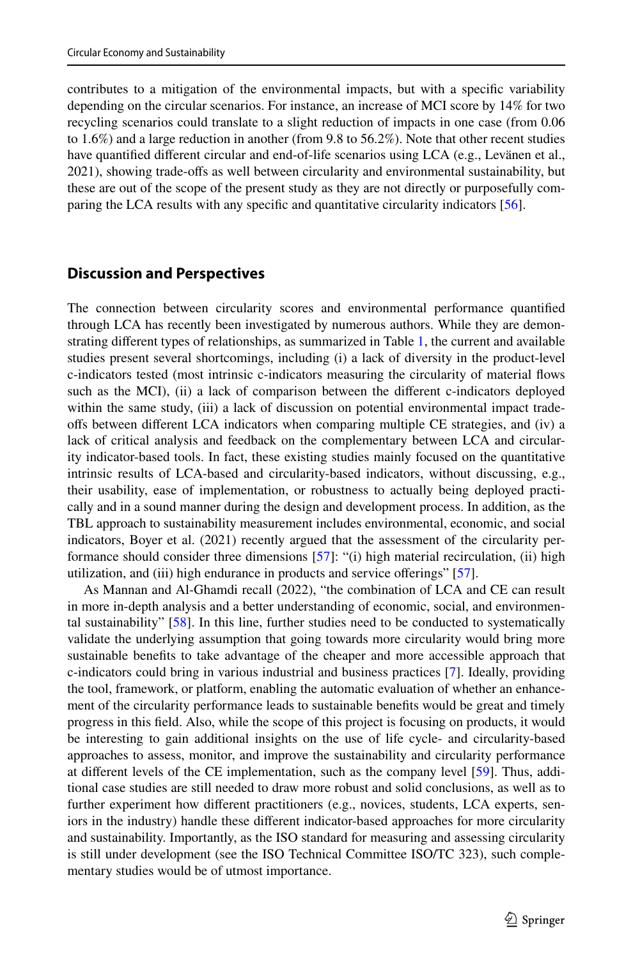contributes to a mitigation of the environmental impacts, but with a specifc variability depending on the circular scenarios. For instance, an increase of MCI score by 14% for two recycling scenarios could translate to a slight reduction of impacts in one case (from 0.06 to 1.6%) and a large reduction in another (from 9.8 to 56.2%). Note that other recent studies have quantifed diferent circular and end-of-life scenarios using LCA (e.g., Levänen et al., 2021), showing trade-ofs as well between circularity and environmental sustainability, but these are out of the scope of the present study as they are not directly or purposefully comparing the LCA results with any specifc and quantitative circularity indicators [\[56\]](#page-13-19).

## <span id="page-10-0"></span>**Discussion and Perspectives**

The connection between circularity scores and environmental performance quantifed through LCA has recently been investigated by numerous authors. While they are demonstrating diferent types of relationships, as summarized in Table [1,](#page-7-0) the current and available studies present several shortcomings, including (i) a lack of diversity in the product-level c-indicators tested (most intrinsic c-indicators measuring the circularity of material fows such as the MCI), (ii) a lack of comparison between the different c-indicators deployed within the same study, (iii) a lack of discussion on potential environmental impact tradeofs between diferent LCA indicators when comparing multiple CE strategies, and (iv) a lack of critical analysis and feedback on the complementary between LCA and circularity indicator-based tools. In fact, these existing studies mainly focused on the quantitative intrinsic results of LCA-based and circularity-based indicators, without discussing, e.g., their usability, ease of implementation, or robustness to actually being deployed practically and in a sound manner during the design and development process. In addition, as the TBL approach to sustainability measurement includes environmental, economic, and social indicators, Boyer et al. (2021) recently argued that the assessment of the circularity performance should consider three dimensions [[57](#page-13-20)]: "(i) high material recirculation, (ii) high utilization, and (iii) high endurance in products and service oferings" [\[57\]](#page-13-20).

As Mannan and Al-Ghamdi recall (2022), "the combination of LCA and CE can result in more in-depth analysis and a better understanding of economic, social, and environmental sustainability" [\[58\]](#page-13-21). In this line, further studies need to be conducted to systematically validate the underlying assumption that going towards more circularity would bring more sustainable benefts to take advantage of the cheaper and more accessible approach that c-indicators could bring in various industrial and business practices [\[7\]](#page-11-6). Ideally, providing the tool, framework, or platform, enabling the automatic evaluation of whether an enhancement of the circularity performance leads to sustainable benefts would be great and timely progress in this feld. Also, while the scope of this project is focusing on products, it would be interesting to gain additional insights on the use of life cycle- and circularity-based approaches to assess, monitor, and improve the sustainability and circularity performance at diferent levels of the CE implementation, such as the company level [[59](#page-13-22)]. Thus, additional case studies are still needed to draw more robust and solid conclusions, as well as to further experiment how diferent practitioners (e.g., novices, students, LCA experts, seniors in the industry) handle these diferent indicator-based approaches for more circularity and sustainability. Importantly, as the ISO standard for measuring and assessing circularity is still under development (see the ISO Technical Committee ISO/TC 323), such complementary studies would be of utmost importance.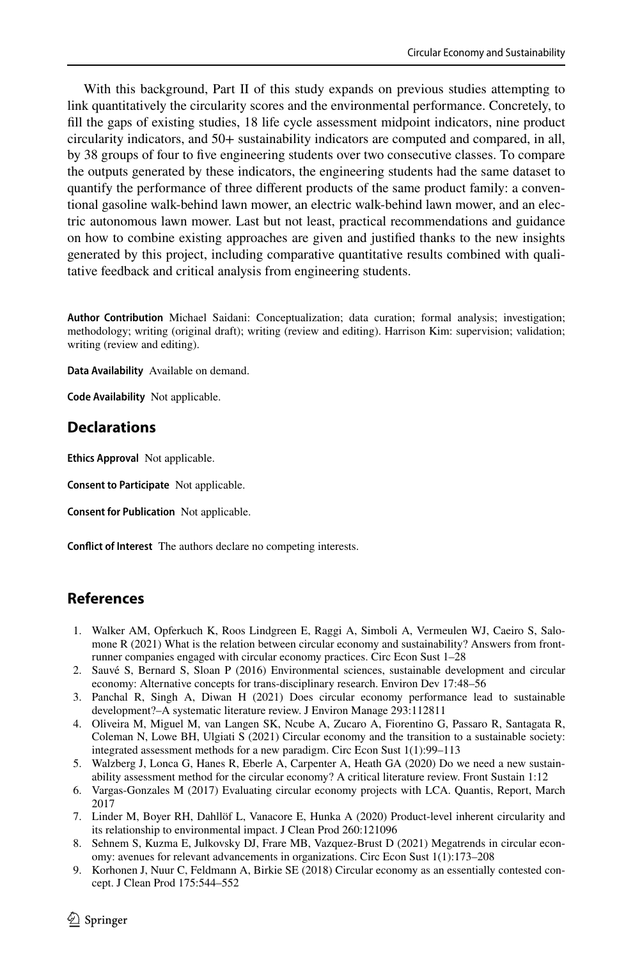With this background, Part II of this study expands on previous studies attempting to link quantitatively the circularity scores and the environmental performance. Concretely, to fll the gaps of existing studies, 18 life cycle assessment midpoint indicators, nine product circularity indicators, and 50+ sustainability indicators are computed and compared, in all, by 38 groups of four to fve engineering students over two consecutive classes. To compare the outputs generated by these indicators, the engineering students had the same dataset to quantify the performance of three diferent products of the same product family: a conventional gasoline walk-behind lawn mower, an electric walk-behind lawn mower, and an electric autonomous lawn mower. Last but not least, practical recommendations and guidance on how to combine existing approaches are given and justifed thanks to the new insights generated by this project, including comparative quantitative results combined with qualitative feedback and critical analysis from engineering students.

**Author Contribution** Michael Saidani: Conceptualization; data curation; formal analysis; investigation; methodology; writing (original draft); writing (review and editing). Harrison Kim: supervision; validation; writing (review and editing).

**Data Availability** Available on demand.

**Code Availability** Not applicable.

## **Declarations**

**Ethics Approval** Not applicable.

**Consent to Participate** Not applicable.

**Consent for Publication** Not applicable.

**Confict of Interest** The authors declare no competing interests.

# **References**

- <span id="page-11-0"></span>1. Walker AM, Opferkuch K, Roos Lindgreen E, Raggi A, Simboli A, Vermeulen WJ, Caeiro S, Salomone R (2021) What is the relation between circular economy and sustainability? Answers from frontrunner companies engaged with circular economy practices. Circ Econ Sust 1–28
- <span id="page-11-1"></span>2. Sauvé S, Bernard S, Sloan P (2016) Environmental sciences, sustainable development and circular economy: Alternative concepts for trans-disciplinary research. Environ Dev 17:48–56
- <span id="page-11-2"></span>3. Panchal R, Singh A, Diwan H (2021) Does circular economy performance lead to sustainable development?–A systematic literature review. J Environ Manage 293:112811
- <span id="page-11-3"></span>4. Oliveira M, Miguel M, van Langen SK, Ncube A, Zucaro A, Fiorentino G, Passaro R, Santagata R, Coleman N, Lowe BH, Ulgiati S (2021) Circular economy and the transition to a sustainable society: integrated assessment methods for a new paradigm. Circ Econ Sust 1(1):99–113
- <span id="page-11-4"></span>5. Walzberg J, Lonca G, Hanes R, Eberle A, Carpenter A, Heath GA (2020) Do we need a new sustainability assessment method for the circular economy? A critical literature review. Front Sustain 1:12
- <span id="page-11-5"></span>6. Vargas-Gonzales M (2017) Evaluating circular economy projects with LCA. Quantis, Report, March 2017
- <span id="page-11-6"></span>7. Linder M, Boyer RH, Dahllöf L, Vanacore E, Hunka A (2020) Product-level inherent circularity and its relationship to environmental impact. J Clean Prod 260:121096
- <span id="page-11-7"></span>8. Sehnem S, Kuzma E, Julkovsky DJ, Frare MB, Vazquez-Brust D (2021) Megatrends in circular economy: avenues for relevant advancements in organizations. Circ Econ Sust 1(1):173–208
- <span id="page-11-8"></span>9. Korhonen J, Nuur C, Feldmann A, Birkie SE (2018) Circular economy as an essentially contested concept. J Clean Prod 175:544–552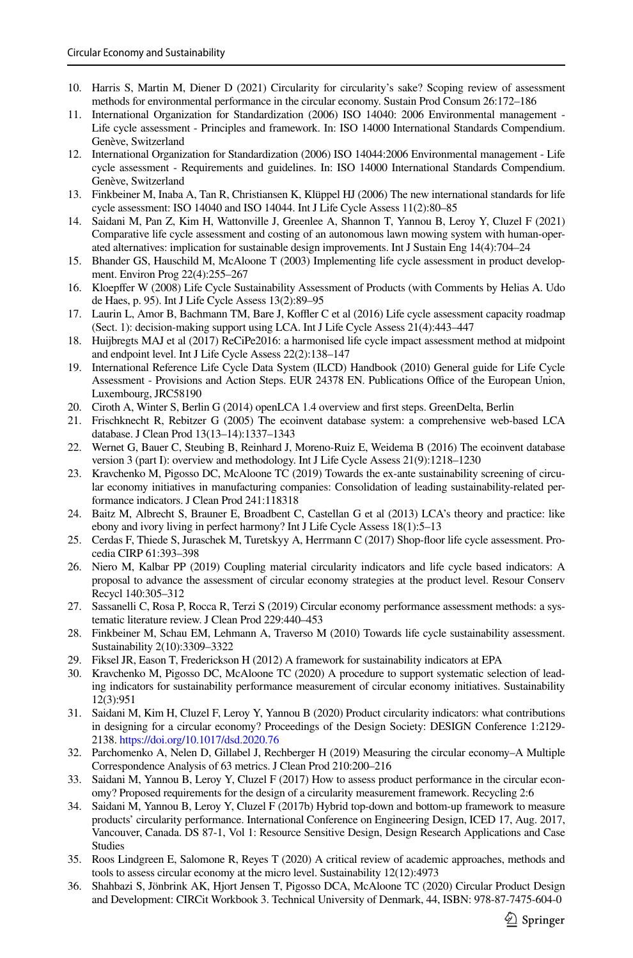- <span id="page-12-0"></span>10. Harris S, Martin M, Diener D (2021) Circularity for circularity's sake? Scoping review of assessment methods for environmental performance in the circular economy. Sustain Prod Consum 26:172–186
- <span id="page-12-1"></span>11. International Organization for Standardization (2006) ISO 14040: 2006 Environmental management - Life cycle assessment - Principles and framework. In: ISO 14000 International Standards Compendium. Genève, Switzerland
- <span id="page-12-2"></span>12. International Organization for Standardization (2006) ISO 14044:2006 Environmental management - Life cycle assessment - Requirements and guidelines. In: ISO 14000 International Standards Compendium. Genève, Switzerland
- <span id="page-12-3"></span>13. Finkbeiner M, Inaba A, Tan R, Christiansen K, Klüppel HJ (2006) The new international standards for life cycle assessment: ISO 14040 and ISO 14044. Int J Life Cycle Assess 11(2):80–85
- <span id="page-12-4"></span>14. Saidani M, Pan Z, Kim H, Wattonville J, Greenlee A, Shannon T, Yannou B, Leroy Y, Cluzel F (2021) Comparative life cycle assessment and costing of an autonomous lawn mowing system with human-operated alternatives: implication for sustainable design improvements. Int J Sustain Eng 14(4):704–24
- <span id="page-12-5"></span>15. Bhander GS, Hauschild M, McAloone T (2003) Implementing life cycle assessment in product development. Environ Prog 22(4):255–267
- 16. Kloepfer W (2008) Life Cycle Sustainability Assessment of Products (with Comments by Helias A. Udo de Haes, p. 95). Int J Life Cycle Assess 13(2):89–95
- <span id="page-12-6"></span>17. Laurin L, Amor B, Bachmann TM, Bare J, Koffler C et al (2016) Life cycle assessment capacity roadmap (Sect. 1): decision-making support using LCA. Int J Life Cycle Assess 21(4):443–447
- <span id="page-12-7"></span>18. Huijbregts MAJ et al (2017) ReCiPe2016: a harmonised life cycle impact assessment method at midpoint and endpoint level. Int J Life Cycle Assess 22(2):138–147
- <span id="page-12-8"></span>19. International Reference Life Cycle Data System (ILCD) Handbook (2010) General guide for Life Cycle Assessment - Provisions and Action Steps. EUR 24378 EN. Publications Office of the European Union, Luxembourg, JRC58190
- <span id="page-12-9"></span>20. Ciroth A, Winter S, Berlin G (2014) openLCA 1.4 overview and frst steps. GreenDelta, Berlin
- <span id="page-12-10"></span>21. Frischknecht R, Rebitzer G (2005) The ecoinvent database system: a comprehensive web-based LCA database. J Clean Prod 13(13–14):1337–1343
- <span id="page-12-11"></span>22. Wernet G, Bauer C, Steubing B, Reinhard J, Moreno-Ruiz E, Weidema B (2016) The ecoinvent database version 3 (part I): overview and methodology. Int J Life Cycle Assess 21(9):1218–1230
- <span id="page-12-12"></span>23. Kravchenko M, Pigosso DC, McAloone TC (2019) Towards the ex-ante sustainability screening of circular economy initiatives in manufacturing companies: Consolidation of leading sustainability-related performance indicators. J Clean Prod 241:118318
- <span id="page-12-13"></span>24. Baitz M, Albrecht S, Brauner E, Broadbent C, Castellan G et al (2013) LCA's theory and practice: like ebony and ivory living in perfect harmony? Int J Life Cycle Assess 18(1):5–13
- <span id="page-12-14"></span>25. Cerdas F, Thiede S, Juraschek M, Turetskyy A, Herrmann C (2017) Shop-foor life cycle assessment. Procedia CIRP 61:393–398
- <span id="page-12-15"></span>26. Niero M, Kalbar PP (2019) Coupling material circularity indicators and life cycle based indicators: A proposal to advance the assessment of circular economy strategies at the product level. Resour Conserv Recycl 140:305–312
- <span id="page-12-16"></span>27. Sassanelli C, Rosa P, Rocca R, Terzi S (2019) Circular economy performance assessment methods: a systematic literature review. J Clean Prod 229:440–453
- <span id="page-12-17"></span>28. Finkbeiner M, Schau EM, Lehmann A, Traverso M (2010) Towards life cycle sustainability assessment. Sustainability 2(10):3309–3322
- <span id="page-12-18"></span>29. Fiksel JR, Eason T, Frederickson H (2012) A framework for sustainability indicators at EPA
- <span id="page-12-19"></span>30. Kravchenko M, Pigosso DC, McAloone TC (2020) A procedure to support systematic selection of leading indicators for sustainability performance measurement of circular economy initiatives. Sustainability 12(3):951
- <span id="page-12-20"></span>31. Saidani M, Kim H, Cluzel F, Leroy Y, Yannou B (2020) Product circularity indicators: what contributions in designing for a circular economy? Proceedings of the Design Society: DESIGN Conference 1:2129- 2138.<https://doi.org/10.1017/dsd.2020.76>
- <span id="page-12-21"></span>32. Parchomenko A, Nelen D, Gillabel J, Rechberger H (2019) Measuring the circular economy–A Multiple Correspondence Analysis of 63 metrics. J Clean Prod 210:200–216
- <span id="page-12-22"></span>33. Saidani M, Yannou B, Leroy Y, Cluzel F (2017) How to assess product performance in the circular economy? Proposed requirements for the design of a circularity measurement framework. Recycling 2:6
- 34. Saidani M, Yannou B, Leroy Y, Cluzel F (2017b) Hybrid top-down and bottom-up framework to measure products' circularity performance. International Conference on Engineering Design, ICED 17, Aug. 2017, Vancouver, Canada. DS 87-1, Vol 1: Resource Sensitive Design, Design Research Applications and Case Studies
- <span id="page-12-24"></span>35. Roos Lindgreen E, Salomone R, Reyes T (2020) A critical review of academic approaches, methods and tools to assess circular economy at the micro level. Sustainability 12(12):4973
- <span id="page-12-23"></span>36. Shahbazi S, Jönbrink AK, Hjort Jensen T, Pigosso DCA, McAloone TC (2020) Circular Product Design and Development: CIRCit Workbook 3. Technical University of Denmark, 44, ISBN: 978-87-7475-604-0